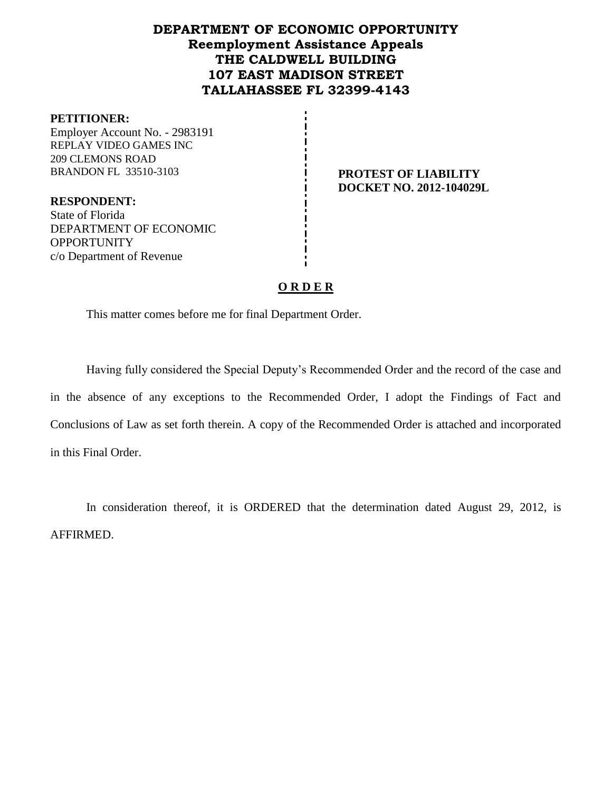# **DEPARTMENT OF ECONOMIC OPPORTUNITY Reemployment Assistance Appeals THE CALDWELL BUILDING 107 EAST MADISON STREET TALLAHASSEE FL 32399-4143**

#### **PETITIONER:**

Employer Account No. - 2983191 REPLAY VIDEO GAMES INC 209 CLEMONS ROAD BRANDON FL 33510-3103 **PROTEST OF LIABILITY** 

**DOCKET NO. 2012-104029L**

**RESPONDENT:** State of Florida DEPARTMENT OF ECONOMIC **OPPORTUNITY** c/o Department of Revenue

## **O R D E R**

This matter comes before me for final Department Order.

Having fully considered the Special Deputy's Recommended Order and the record of the case and in the absence of any exceptions to the Recommended Order, I adopt the Findings of Fact and Conclusions of Law as set forth therein. A copy of the Recommended Order is attached and incorporated in this Final Order.

In consideration thereof, it is ORDERED that the determination dated August 29, 2012, is AFFIRMED.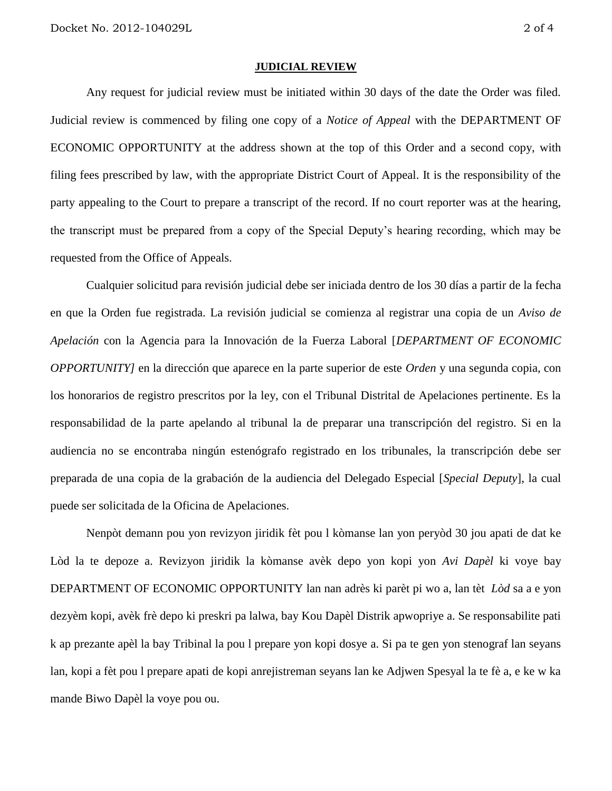#### **JUDICIAL REVIEW**

Any request for judicial review must be initiated within 30 days of the date the Order was filed. Judicial review is commenced by filing one copy of a *Notice of Appeal* with the DEPARTMENT OF ECONOMIC OPPORTUNITY at the address shown at the top of this Order and a second copy, with filing fees prescribed by law, with the appropriate District Court of Appeal. It is the responsibility of the party appealing to the Court to prepare a transcript of the record. If no court reporter was at the hearing, the transcript must be prepared from a copy of the Special Deputy's hearing recording, which may be requested from the Office of Appeals.

Cualquier solicitud para revisión judicial debe ser iniciada dentro de los 30 días a partir de la fecha en que la Orden fue registrada. La revisión judicial se comienza al registrar una copia de un *Aviso de Apelación* con la Agencia para la Innovación de la Fuerza Laboral [*DEPARTMENT OF ECONOMIC OPPORTUNITY]* en la dirección que aparece en la parte superior de este *Orden* y una segunda copia, con los honorarios de registro prescritos por la ley, con el Tribunal Distrital de Apelaciones pertinente. Es la responsabilidad de la parte apelando al tribunal la de preparar una transcripción del registro. Si en la audiencia no se encontraba ningún estenógrafo registrado en los tribunales, la transcripción debe ser preparada de una copia de la grabación de la audiencia del Delegado Especial [*Special Deputy*], la cual puede ser solicitada de la Oficina de Apelaciones.

Nenpòt demann pou yon revizyon jiridik fèt pou l kòmanse lan yon peryòd 30 jou apati de dat ke Lòd la te depoze a. Revizyon jiridik la kòmanse avèk depo yon kopi yon *Avi Dapèl* ki voye bay DEPARTMENT OF ECONOMIC OPPORTUNITY lan nan adrès ki parèt pi wo a, lan tèt *Lòd* sa a e yon dezyèm kopi, avèk frè depo ki preskri pa lalwa, bay Kou Dapèl Distrik apwopriye a. Se responsabilite pati k ap prezante apèl la bay Tribinal la pou l prepare yon kopi dosye a. Si pa te gen yon stenograf lan seyans lan, kopi a fèt pou l prepare apati de kopi anrejistreman seyans lan ke Adjwen Spesyal la te fè a, e ke w ka mande Biwo Dapèl la voye pou ou.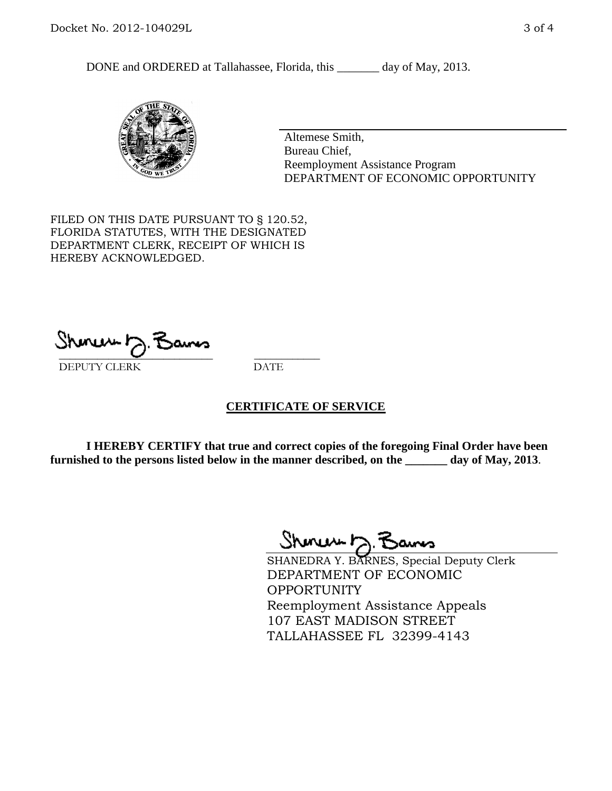DONE and ORDERED at Tallahassee, Florida, this \_\_\_\_\_\_\_ day of May, 2013.



Altemese Smith, Bureau Chief, Reemployment Assistance Program DEPARTMENT OF ECONOMIC OPPORTUNITY

FILED ON THIS DATE PURSUANT TO § 120.52, FLORIDA STATUTES, WITH THE DESIGNATED DEPARTMENT CLERK, RECEIPT OF WHICH IS HEREBY ACKNOWLEDGED.

 $\overline{\phantom{a}}$  ,  $\overline{\phantom{a}}$  ,  $\overline{\phantom{a}}$  ,  $\overline{\phantom{a}}$  ,  $\overline{\phantom{a}}$  ,  $\overline{\phantom{a}}$  ,  $\overline{\phantom{a}}$  ,  $\overline{\phantom{a}}$  ,  $\overline{\phantom{a}}$  ,  $\overline{\phantom{a}}$  ,  $\overline{\phantom{a}}$  ,  $\overline{\phantom{a}}$  ,  $\overline{\phantom{a}}$  ,  $\overline{\phantom{a}}$  ,  $\overline{\phantom{a}}$  ,  $\overline{\phantom{a}}$ DEPUTY CLERK DATE

### **CERTIFICATE OF SERVICE**

**I HEREBY CERTIFY that true and correct copies of the foregoing Final Order have been furnished to the persons listed below in the manner described, on the \_\_\_\_\_\_\_ day of May, 2013**.

 $Shmawr\sim$   $\tilde{f}$ 

SHANEDRA Y. BARNES, Special Deputy Clerk DEPARTMENT OF ECONOMIC **OPPORTUNITY** Reemployment Assistance Appeals 107 EAST MADISON STREET TALLAHASSEE FL 32399-4143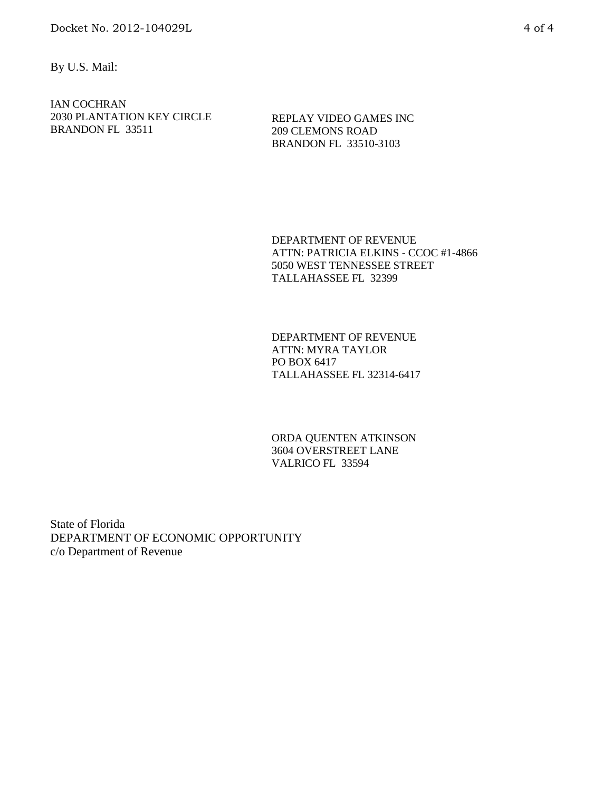By U.S. Mail:

IAN COCHRAN 2030 PLANTATION KEY CIRCLE BRANDON FL 33511

REPLAY VIDEO GAMES INC 209 CLEMONS ROAD BRANDON FL 33510-3103

DEPARTMENT OF REVENUE ATTN: PATRICIA ELKINS - CCOC #1-4866 5050 WEST TENNESSEE STREET TALLAHASSEE FL 32399

DEPARTMENT OF REVENUE ATTN: MYRA TAYLOR PO BOX 6417 TALLAHASSEE FL 32314-6417

ORDA QUENTEN ATKINSON 3604 OVERSTREET LANE VALRICO FL 33594

State of Florida DEPARTMENT OF ECONOMIC OPPORTUNITY c/o Department of Revenue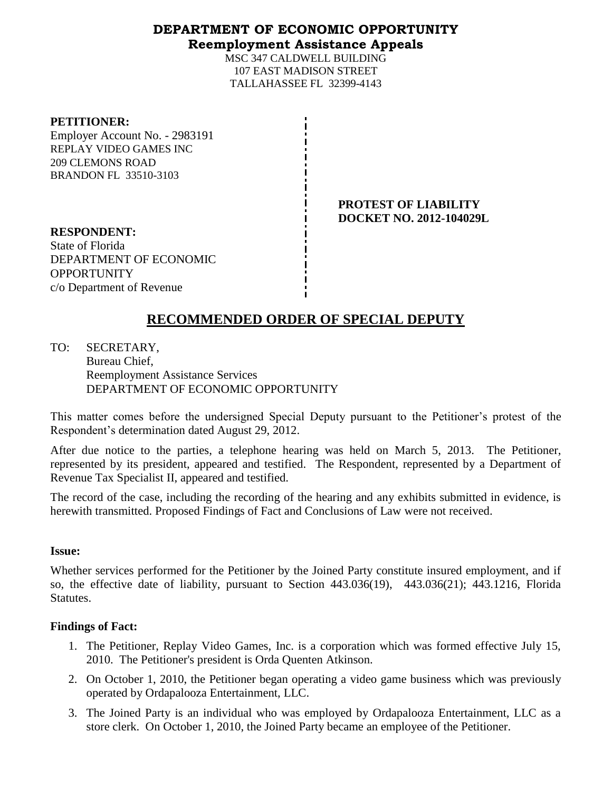## **DEPARTMENT OF ECONOMIC OPPORTUNITY Reemployment Assistance Appeals**

MSC 347 CALDWELL BUILDING 107 EAST MADISON STREET TALLAHASSEE FL 32399-4143

#### **PETITIONER:**

Employer Account No. - 2983191 REPLAY VIDEO GAMES INC 209 CLEMONS ROAD BRANDON FL 33510-3103

> **PROTEST OF LIABILITY DOCKET NO. 2012-104029L**

**RESPONDENT:** State of Florida DEPARTMENT OF ECONOMIC **OPPORTUNITY** c/o Department of Revenue

# **RECOMMENDED ORDER OF SPECIAL DEPUTY**

TO: SECRETARY, Bureau Chief, Reemployment Assistance Services DEPARTMENT OF ECONOMIC OPPORTUNITY

This matter comes before the undersigned Special Deputy pursuant to the Petitioner's protest of the Respondent's determination dated August 29, 2012.

After due notice to the parties, a telephone hearing was held on March 5, 2013. The Petitioner, represented by its president, appeared and testified. The Respondent, represented by a Department of Revenue Tax Specialist II, appeared and testified.

The record of the case, including the recording of the hearing and any exhibits submitted in evidence, is herewith transmitted. Proposed Findings of Fact and Conclusions of Law were not received.

### **Issue:**

Whether services performed for the Petitioner by the Joined Party constitute insured employment, and if so, the effective date of liability, pursuant to Section 443.036(19), 443.036(21); 443.1216, Florida Statutes.

### **Findings of Fact:**

- 1. The Petitioner, Replay Video Games, Inc. is a corporation which was formed effective July 15, 2010. The Petitioner's president is Orda Quenten Atkinson.
- 2. On October 1, 2010, the Petitioner began operating a video game business which was previously operated by Ordapalooza Entertainment, LLC.
- 3. The Joined Party is an individual who was employed by Ordapalooza Entertainment, LLC as a store clerk. On October 1, 2010, the Joined Party became an employee of the Petitioner.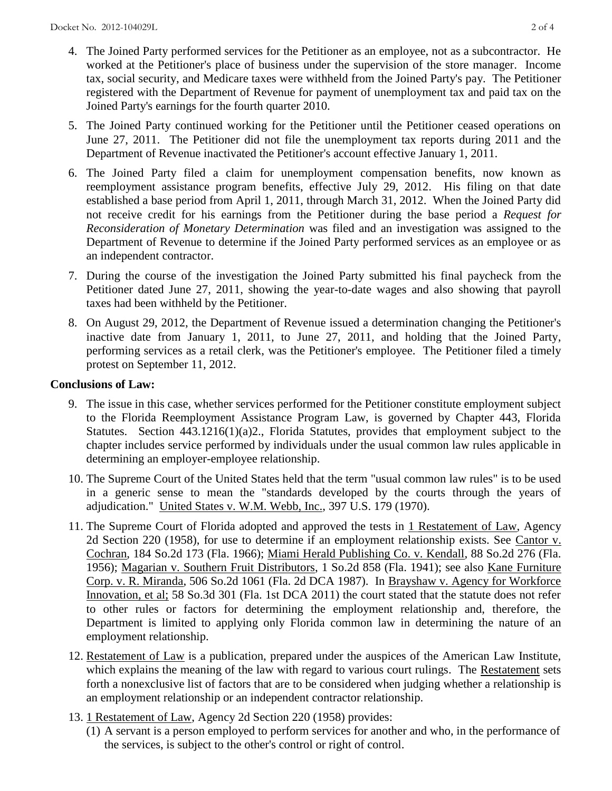- 4. The Joined Party performed services for the Petitioner as an employee, not as a subcontractor. He worked at the Petitioner's place of business under the supervision of the store manager. Income tax, social security, and Medicare taxes were withheld from the Joined Party's pay. The Petitioner registered with the Department of Revenue for payment of unemployment tax and paid tax on the Joined Party's earnings for the fourth quarter 2010.
- 5. The Joined Party continued working for the Petitioner until the Petitioner ceased operations on June 27, 2011. The Petitioner did not file the unemployment tax reports during 2011 and the Department of Revenue inactivated the Petitioner's account effective January 1, 2011.
- 6. The Joined Party filed a claim for unemployment compensation benefits, now known as reemployment assistance program benefits, effective July 29, 2012. His filing on that date established a base period from April 1, 2011, through March 31, 2012. When the Joined Party did not receive credit for his earnings from the Petitioner during the base period a *Request for Reconsideration of Monetary Determination* was filed and an investigation was assigned to the Department of Revenue to determine if the Joined Party performed services as an employee or as an independent contractor.
- 7. During the course of the investigation the Joined Party submitted his final paycheck from the Petitioner dated June 27, 2011, showing the year-to-date wages and also showing that payroll taxes had been withheld by the Petitioner.
- 8. On August 29, 2012, the Department of Revenue issued a determination changing the Petitioner's inactive date from January 1, 2011, to June 27, 2011, and holding that the Joined Party, performing services as a retail clerk, was the Petitioner's employee. The Petitioner filed a timely protest on September 11, 2012.

## **Conclusions of Law:**

- 9. The issue in this case, whether services performed for the Petitioner constitute employment subject to the Florida Reemployment Assistance Program Law, is governed by Chapter 443, Florida Statutes. Section 443.1216(1)(a)2., Florida Statutes, provides that employment subject to the chapter includes service performed by individuals under the usual common law rules applicable in determining an employer-employee relationship.
- 10. The Supreme Court of the United States held that the term "usual common law rules" is to be used in a generic sense to mean the "standards developed by the courts through the years of adjudication." United States v. W.M. Webb, Inc., 397 U.S. 179 (1970).
- 11. The Supreme Court of Florida adopted and approved the tests in 1 Restatement of Law, Agency 2d Section 220 (1958), for use to determine if an employment relationship exists. See Cantor v. Cochran, 184 So.2d 173 (Fla. 1966); Miami Herald Publishing Co. v. Kendall, 88 So.2d 276 (Fla. 1956); Magarian v. Southern Fruit Distributors, 1 So.2d 858 (Fla. 1941); see also Kane Furniture Corp. v. R. Miranda, 506 So.2d 1061 (Fla. 2d DCA 1987). In Brayshaw v. Agency for Workforce Innovation, et al; 58 So.3d 301 (Fla. 1st DCA 2011) the court stated that the statute does not refer to other rules or factors for determining the employment relationship and, therefore, the Department is limited to applying only Florida common law in determining the nature of an employment relationship.
- 12. Restatement of Law is a publication, prepared under the auspices of the American Law Institute, which explains the meaning of the law with regard to various court rulings. The Restatement sets forth a nonexclusive list of factors that are to be considered when judging whether a relationship is an employment relationship or an independent contractor relationship.
- 13. 1 Restatement of Law, Agency 2d Section 220 (1958) provides:
	- (1) A servant is a person employed to perform services for another and who, in the performance of the services, is subject to the other's control or right of control.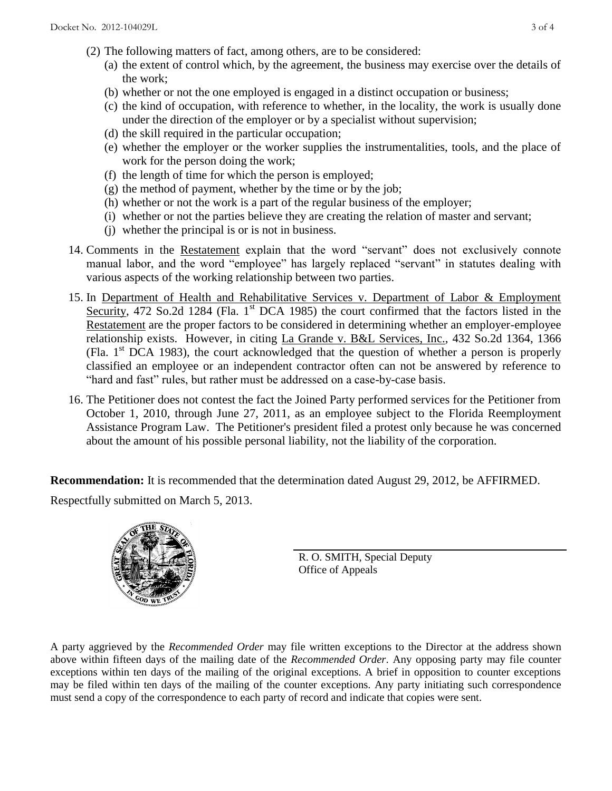- (2) The following matters of fact, among others, are to be considered:
	- (a) the extent of control which, by the agreement, the business may exercise over the details of the work;
	- (b) whether or not the one employed is engaged in a distinct occupation or business;
	- (c) the kind of occupation, with reference to whether, in the locality, the work is usually done under the direction of the employer or by a specialist without supervision;
	- (d) the skill required in the particular occupation;
	- (e) whether the employer or the worker supplies the instrumentalities, tools, and the place of work for the person doing the work;
	- (f) the length of time for which the person is employed;
	- $(g)$  the method of payment, whether by the time or by the job;
	- (h) whether or not the work is a part of the regular business of the employer;
	- (i) whether or not the parties believe they are creating the relation of master and servant;
	- (j) whether the principal is or is not in business.
- 14. Comments in the Restatement explain that the word "servant" does not exclusively connote manual labor, and the word "employee" has largely replaced "servant" in statutes dealing with various aspects of the working relationship between two parties.
- 15. In Department of Health and Rehabilitative Services v. Department of Labor & Employment Security, 472 So.2d 1284 (Fla. 1<sup>st</sup> DCA 1985) the court confirmed that the factors listed in the Restatement are the proper factors to be considered in determining whether an employer-employee relationship exists. However, in citing La Grande v. B&L Services, Inc., 432 So.2d 1364, 1366 (Fla.  $1<sup>st</sup>$  DCA 1983), the court acknowledged that the question of whether a person is properly classified an employee or an independent contractor often can not be answered by reference to "hard and fast" rules, but rather must be addressed on a case-by-case basis.
- 16. The Petitioner does not contest the fact the Joined Party performed services for the Petitioner from October 1, 2010, through June 27, 2011, as an employee subject to the Florida Reemployment Assistance Program Law. The Petitioner's president filed a protest only because he was concerned about the amount of his possible personal liability, not the liability of the corporation.

**Recommendation:** It is recommended that the determination dated August 29, 2012, be AFFIRMED.

Respectfully submitted on March 5, 2013.



R. O. SMITH, Special Deputy Office of Appeals

A party aggrieved by the *Recommended Order* may file written exceptions to the Director at the address shown above within fifteen days of the mailing date of the *Recommended Order*. Any opposing party may file counter exceptions within ten days of the mailing of the original exceptions. A brief in opposition to counter exceptions may be filed within ten days of the mailing of the counter exceptions. Any party initiating such correspondence must send a copy of the correspondence to each party of record and indicate that copies were sent.